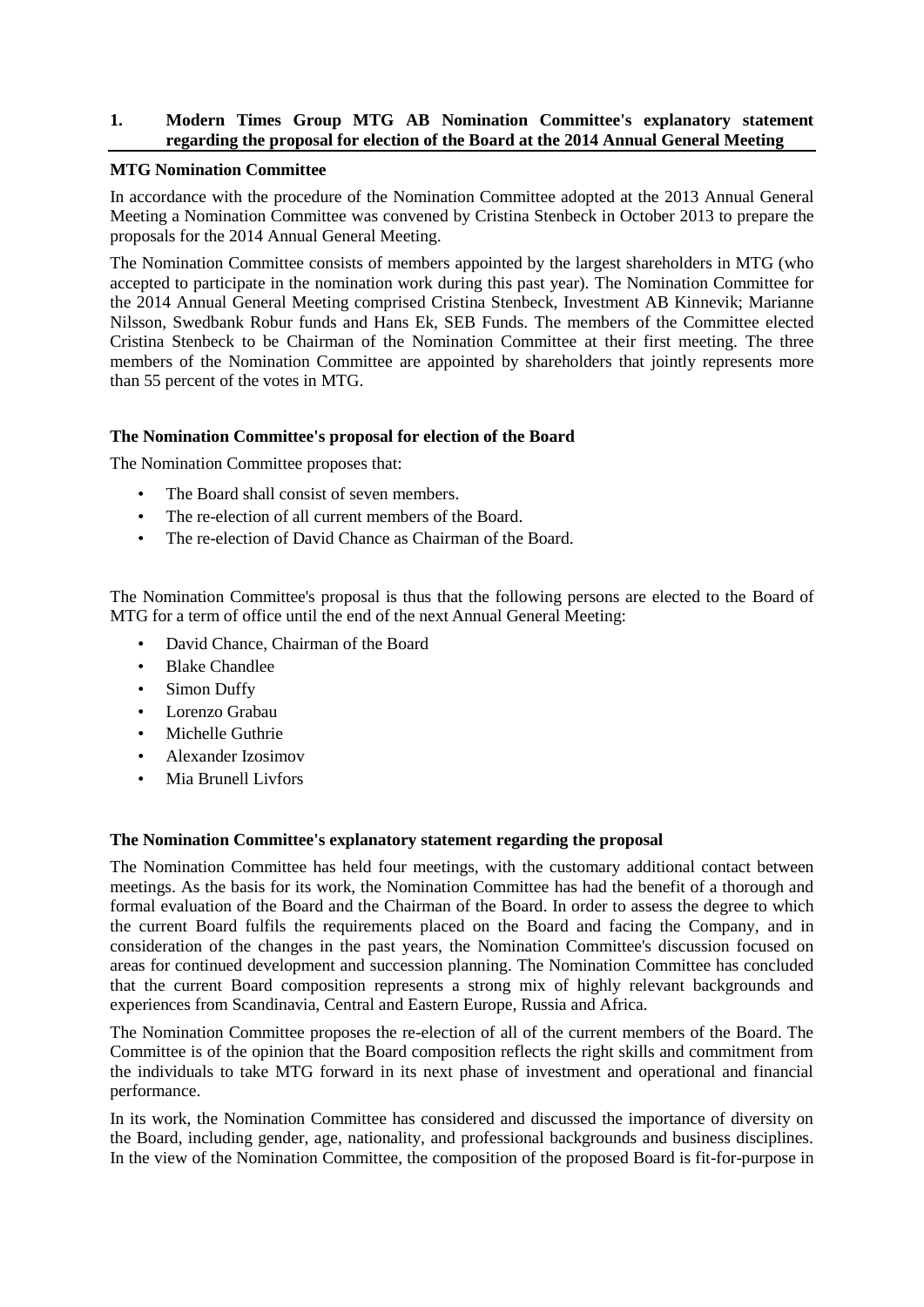# **1. Modern Times Group MTG AB Nomination Committee's explanatory statement regarding the proposal for election of the Board at the 2014 Annual General Meeting**

### **MTG Nomination Committee**

In accordance with the procedure of the Nomination Committee adopted at the 2013 Annual General Meeting a Nomination Committee was convened by Cristina Stenbeck in October 2013 to prepare the proposals for the 2014 Annual General Meeting.

The Nomination Committee consists of members appointed by the largest shareholders in MTG (who accepted to participate in the nomination work during this past year). The Nomination Committee for the 2014 Annual General Meeting comprised Cristina Stenbeck, Investment AB Kinnevik; Marianne Nilsson, Swedbank Robur funds and Hans Ek, SEB Funds. The members of the Committee elected Cristina Stenbeck to be Chairman of the Nomination Committee at their first meeting. The three members of the Nomination Committee are appointed by shareholders that jointly represents more than 55 percent of the votes in MTG.

# **The Nomination Committee's proposal for election of the Board**

The Nomination Committee proposes that:

- The Board shall consist of seven members.
- The re-election of all current members of the Board.
- The re-election of David Chance as Chairman of the Board.

The Nomination Committee's proposal is thus that the following persons are elected to the Board of MTG for a term of office until the end of the next Annual General Meeting:

- David Chance, Chairman of the Board
- Blake Chandlee
- **Simon Duffy**
- Lorenzo Grabau
- Michelle Guthrie
- Alexander Izosimov
- Mia Brunell Livfors

### **The Nomination Committee's explanatory statement regarding the proposal**

The Nomination Committee has held four meetings, with the customary additional contact between meetings. As the basis for its work, the Nomination Committee has had the benefit of a thorough and formal evaluation of the Board and the Chairman of the Board. In order to assess the degree to which the current Board fulfils the requirements placed on the Board and facing the Company, and in consideration of the changes in the past years, the Nomination Committee's discussion focused on areas for continued development and succession planning. The Nomination Committee has concluded that the current Board composition represents a strong mix of highly relevant backgrounds and experiences from Scandinavia, Central and Eastern Europe, Russia and Africa.

The Nomination Committee proposes the re-election of all of the current members of the Board. The Committee is of the opinion that the Board composition reflects the right skills and commitment from the individuals to take MTG forward in its next phase of investment and operational and financial performance.

In its work, the Nomination Committee has considered and discussed the importance of diversity on the Board, including gender, age, nationality, and professional backgrounds and business disciplines. In the view of the Nomination Committee, the composition of the proposed Board is fit-for-purpose in